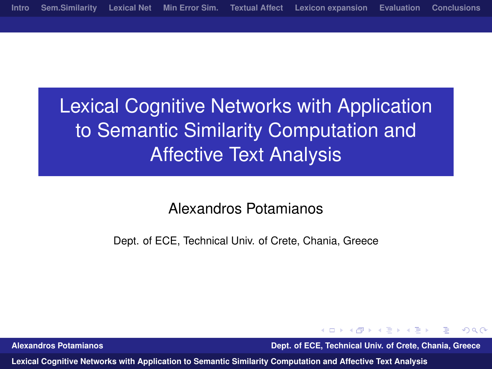# Lexical Cognitive Networks with Application to Semantic Similarity Computation and Affective Text Analysis

### Alexandros Potamianos

Dept. of ECE, Technical Univ. of Crete, Chania, Greece

<span id="page-0-0"></span> $\Omega$ 

**Alexandros Potamianos Dept. of ECE, Technical Univ. of Crete, Chania, Greece**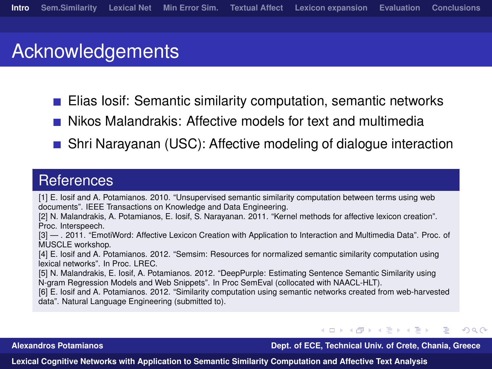## **Acknowledgements**

- Elias Iosif: Semantic similarity computation, semantic networks
- Nikos Malandrakis: Affective models for text and multimedia
- **Shri Narayanan (USC): Affective modeling of dialogue interaction**

### **References**

[1] E. Iosif and A. Potamianos. 2010. "Unsupervised semantic similarity computation between terms using web documents". IEEE Transactions on Knowledge and Data Engineering.

[2] N. Malandrakis, A. Potamianos, E. Iosif, S. Narayanan. 2011. "Kernel methods for affective lexicon creation". Proc. Interspeech.

[3] — . 2011. "EmotiWord: Affective Lexicon Creation with Application to Interaction and Multimedia Data". Proc. of MUSCLE workshop.

[4] E. Iosif and A. Potamianos. 2012. "Semsim: Resources for normalized semantic similarity computation using lexical networks". In Proc. LREC.

[5] N. Malandrakis, E. Iosif, A. Potamianos. 2012. "DeepPurple: Estimating Sentence Semantic Similarity using N-gram Regression Models and Web Snippets". In Proc SemEval (collocated with NAACL-HLT).

[6] E. Iosif and A. Potamianos. 2012. "Similarity computation using semantic networks created from web-harvested data". Natural Language Engineering (submitted to).

←ロ→ ←何→ ←ヨ→ ←ヨ **Alexandros Potamianos Dept. of ECE, Technical Univ. of Crete, Chania, Greece**

<span id="page-1-0"></span> $\Omega$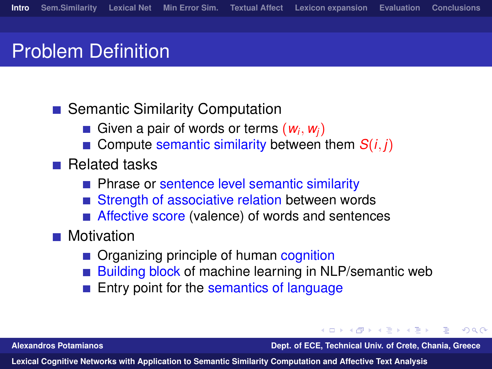# Problem Definition

### ■ Semantic Similarity Computation

- Given a pair of words or terms (*w<sup>i</sup>* , *wj*)
- Gompute semantic similarity between them  $S(i, j)$
- $\blacksquare$  Related tasks
	- **Phrase or sentence level semantic similarity**
	- Strength of associative relation between words
	- Affective score (valence) of words and sentences
- **Motivation** 
	- **Organizing principle of human cognition**
	- Building block of machine learning in NLP/semantic web
	- Entry point for the semantics of language

**Alexandros Potamianos Dept. of ECE, Technical Univ. of Crete, Chania, Greece**

化重新润滑

 $209$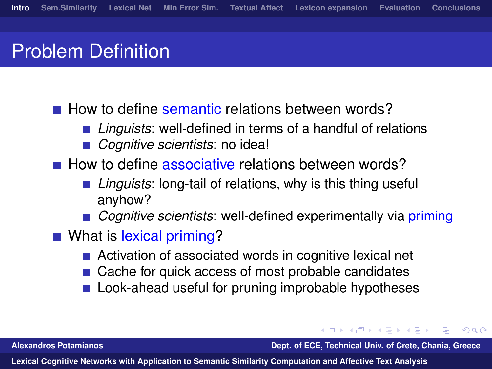# Problem Definition

 $\blacksquare$  How to define semantic relations between words?

- *Linguists*: well-defined in terms of a handful of relations
- *Cognitive scientists*: no idea!
- $\blacksquare$  How to define associative relations between words?
	- *Linguists*: long-tail of relations, why is this thing useful anyhow?
	- *Cognitive scientists*: well-defined experimentally via priming
- What is lexical priming?
	- Activation of associated words in cognitive lexical net
	- Cache for quick access of most probable candidates
	- Look-ahead useful for pruning improbable hypotheses

**Alexandros Potamianos Dept. of ECE, Technical Univ. of Crete, Chania, Greece**

化重新润滑

 $\Omega$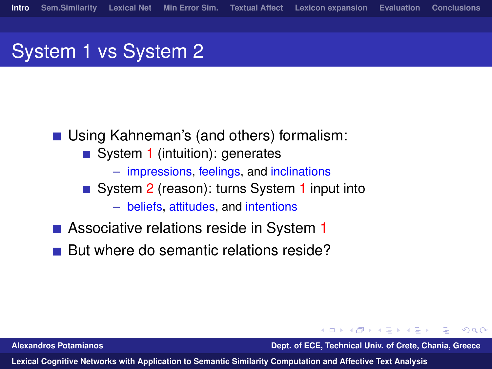# System 1 vs System 2

### ■ Using Kahneman's (and others) formalism:

- System 1 (intuition): generates
	- impressions, feelings, and inclinations
- System 2 (reason): turns System 1 input into
	- beliefs, attitudes, and intentions
- Associative relations reside in System 1
- But where do semantic relations reside?

**Alexandros Potamianos Dept. of ECE, Technical Univ. of Crete, Chania, Greece**

 $209$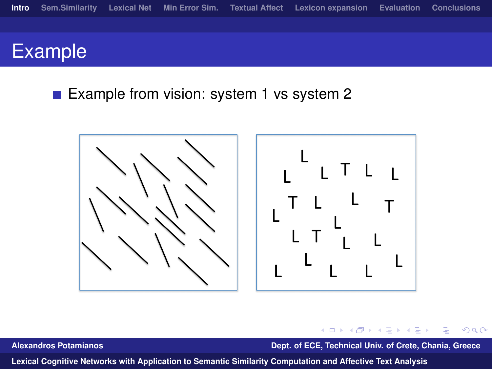# **Example**

Example from vision: system 1 vs system 2



**Alexandros Potamianos Dept. of ECE, Technical Univ. of Crete, Chania, Greece**

∋⇒

4日)

 $2990$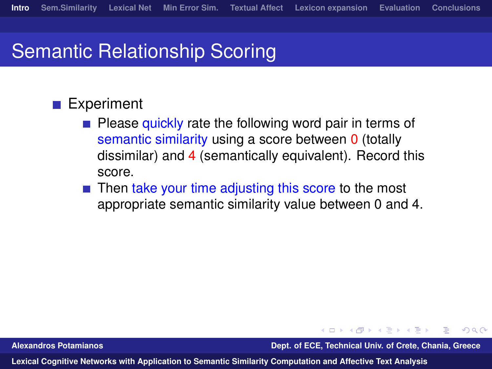## Semantic Relationship Scoring

### **Experiment**

- Please quickly rate the following word pair in terms of semantic similarity using a score between 0 (totally dissimilar) and 4 (semantically equivalent). Record this score.
- Then take your time adjusting this score to the most appropriate semantic similarity value between 0 and 4.

**Alexandros Potamianos Dept. of ECE, Technical Univ. of Crete, Chania, Greece**

 $\Omega$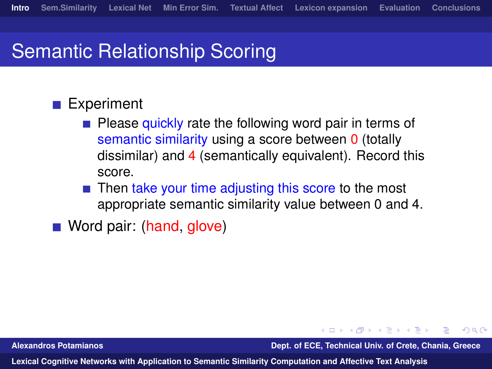## Semantic Relationship Scoring

### **Experiment**

- Please quickly rate the following word pair in terms of semantic similarity using a score between 0 (totally dissimilar) and 4 (semantically equivalent). Record this score.
- Then take your time adjusting this score to the most appropriate semantic similarity value between 0 and 4.

Word pair: (hand, glove)

**Alexandros Potamianos Dept. of ECE, Technical Univ. of Crete, Chania, Greece**

化重 网络重

 $\Omega$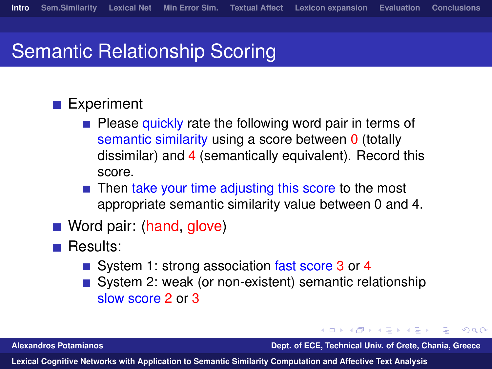# Semantic Relationship Scoring

### **Experiment**

- **Please quickly rate the following word pair in terms of** semantic similarity using a score between 0 (totally dissimilar) and 4 (semantically equivalent). Record this score.
- $\blacksquare$  Then take your time adjusting this score to the most appropriate semantic similarity value between 0 and 4.
- Word pair: (hand, glove)
- **Results:** 
	- System 1: strong association fast score 3 or 4
	- System 2: weak (or non-existent) semantic relationship slow score 2 or 3

**Alexandros Potamianos Dept. of ECE, Technical Univ. of Crete, Chania, Greece**

- イラメ イラメ

 $\Omega$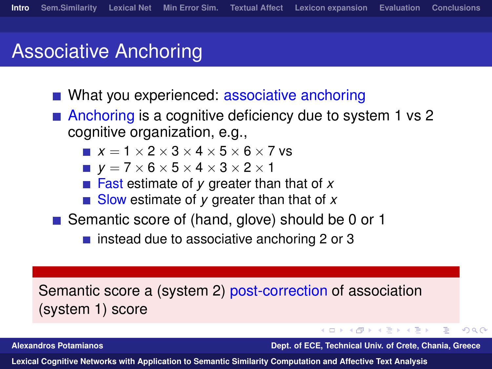# Associative Anchoring

- What you experienced: associative anchoring
- Anchoring is a cognitive deficiency due to system 1 vs 2 cognitive organization, e.g.,
	- $x = 1 \times 2 \times 3 \times 4 \times 5 \times 6 \times 7$  vs
	- $\blacksquare$  *y* = 7 × 6 × 5 × 4 × 3 × 2 × 1
	- Fast estimate of *y* greater than that of *x*
	- Slow estimate of *y* greater than that of *x*
- Semantic score of (hand, glove) should be 0 or 1
	- instead due to associative anchoring 2 or 3

### Semantic score a (system 2) post-correction of association (system 1) score

**Alexandros Potamianos Dept. of ECE, Technical Univ. of Crete, Chania, Greece**

つくへ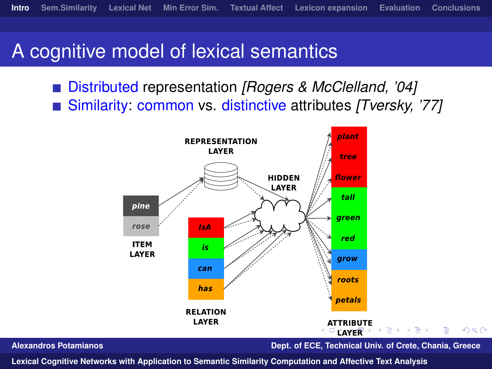## A cognitive model of lexical semantics

■ Distributed representation *[Rogers & McClelland, '04]* Similarity: common vs. distinctive attributes *[Tversky, '77]*

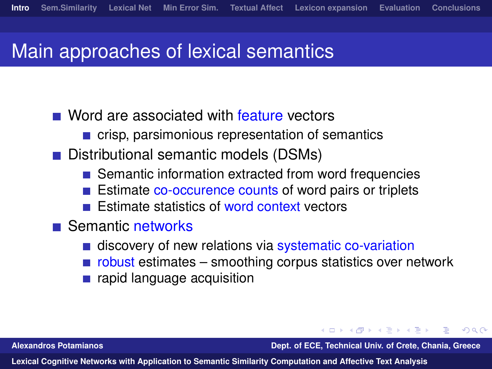## Main approaches of lexical semantics

- Word are associated with feature vectors
	- $\blacksquare$  crisp, parsimonious representation of semantics
- Distributional semantic models (DSMs)
	- Semantic information extracted from word frequencies
	- Estimate co-occurence counts of word pairs or triplets
	- Estimate statistics of word context vectors
- Semantic networks
	- discovery of new relations via systematic co-variation
	- $\blacksquare$  robust estimates smoothing corpus statistics over network
	- rapid language acquisition

**Alexandros Potamianos Dept. of ECE, Technical Univ. of Crete, Chania, Greece**

 $\leftarrow$   $\exists$   $\rightarrow$   $\rightarrow$   $\exists$ 

 $\Omega$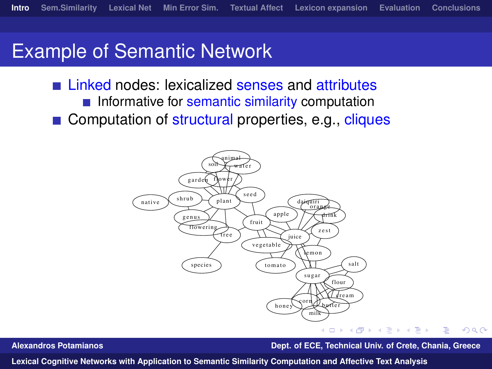## Example of Semantic Network

- Linked nodes: lexicalized senses and attributes Informative for semantic similarity computation  $\mathcal{L}^{\mathcal{A}}$
- Computation of structural properties, e.g., cliques



**Alexandros Potamianos Dept. of ECE, Technical Univ. of Crete, Chania, Greece**

 $\Omega$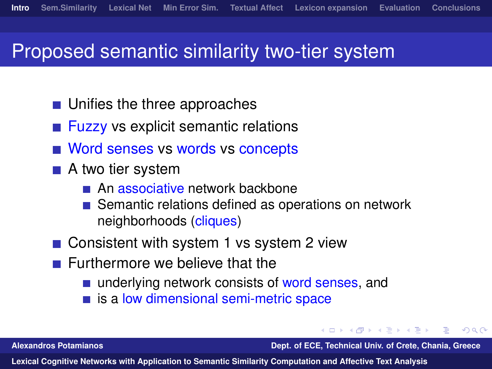## Proposed semantic similarity two-tier system

- Unifies the three approaches
- $\blacksquare$  Fuzzy vs explicit semantic relations
- Word senses vs words vs concepts
- A two tier system
	- $\blacksquare$  An associative network backbone
	- Semantic relations defined as operations on network neighborhoods (cliques)
- Consistent with system 1 vs system 2 view
- $\blacksquare$  Furthermore we believe that the
	- underlying network consists of word senses, and
	- is a low dimensional semi-metric space

**Alexandros Potamianos Dept. of ECE, Technical Univ. of Crete, Chania, Greece**

→ 重 下

 $209$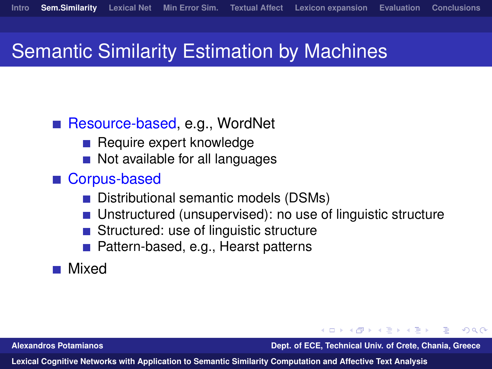## **Semantic Similarity Estimation by Machines**

### Resource-based, e.g., WordNet

- Require expert knowledge
- Not available for all languages

### ■ Corpus-based

- Distributional semantic models (DSMs)
- Unstructured (unsupervised): no use of linguistic structure
- Structured: use of linguistic structure
- Pattern-based, e.g., Hearst patterns

### Mixed

**Alexandros Potamianos Dept. of ECE, Technical Univ. of Crete, Chania, Greece**

<span id="page-14-0"></span>つくへ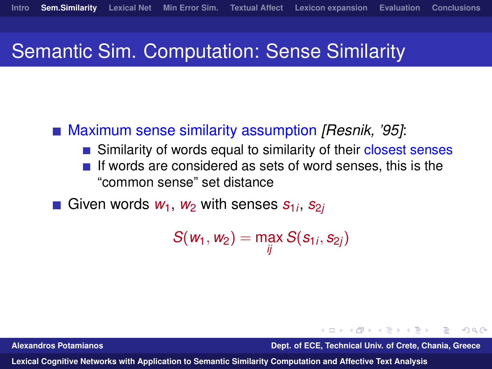## Semantic Sim. Computation: Sense Similarity

### ■ Maximum sense similarity assumption *[Resnik, '95]*:

- Similarity of words equal to similarity of their closest senses
- If words are considered as sets of word senses, this is the "common sense" set distance
- Given words *w*1, *w*<sup>2</sup> with senses *s*1*<sup>i</sup>* , *s*2*<sup>j</sup>*

$$
S(w_1,w_2)=\underset{ij}{\text{max}}\ S(s_{1i},s_{2j})
$$

**Alexandros Potamianos Dept. of ECE, Technical Univ. of Crete, Chania, Greece**

 $\Omega$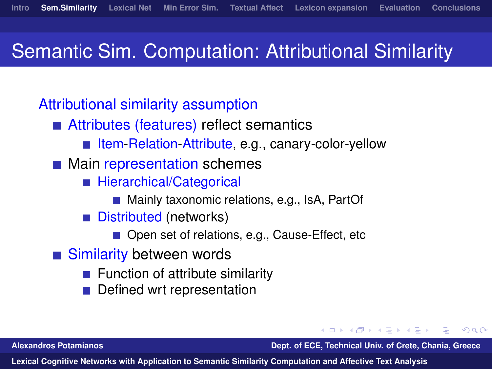# Semantic Sim. Computation: Attributional Similarity

### Attributional similarity assumption

- Attributes (features) reflect semantics
	- Item-Relation-Attribute, e.g., canary-color-yellow
- **Main representation schemes** 
	- **Hierarchical/Categorical** 
		- Mainly taxonomic relations, e.g., IsA, PartOf
	- Distributed (networks)  $\sim$ 
		- Open set of relations, e.g., Cause-Effect, etc
- Similarity between words
	- Function of attribute similarity
	- Defined wrt representation

**Alexandros Potamianos Dept. of ECE, Technical Univ. of Crete, Chania, Greece**

 $\Omega$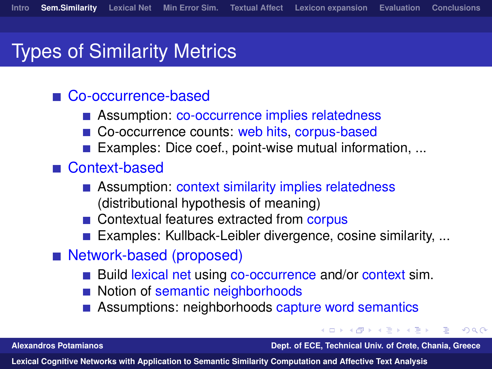## Types of Similarity Metrics

### Co-occurrence-based

- Assumption: co-occurrence implies relatedness
- Co-occurrence counts: web hits, corpus-based
- Examples: Dice coef., point-wise mutual information, ...

### ■ Context-based

- Assumption: context similarity implies relatedness (distributional hypothesis of meaning)
- Contextual features extracted from corpus
- Examples: Kullback-Leibler divergence, cosine similarity, ...
- Network-based (proposed)
	- Build lexical net using co-occurrence and/or context sim.
	- Notion of semantic neighborhoods
	- Assumptions: neighborhoods capture word semantics

**Alexandros Potamianos Dept. of ECE, Technical Univ. of Crete, Chania, Greece**

 $\Omega$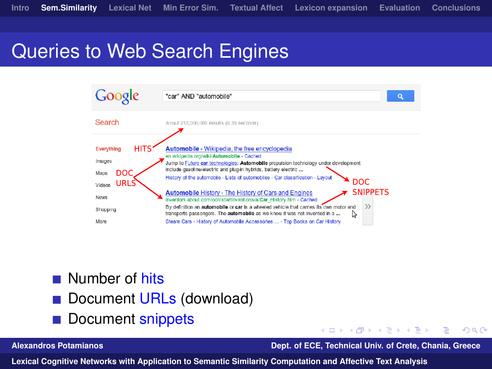## Queries to Web Search Engines



- **Number of hits**
- Document URLs (download)
- Document snippets

**Alexandros Potamianos Dept. of ECE, Technical Univ. of Crete, Chania, Greece**

三下

4 . EL 19

 $\Omega$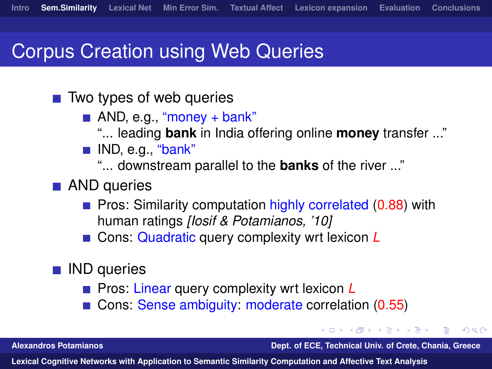## Corpus Creation using Web Queries

- $\blacksquare$  Two types of web queries
	- $\blacksquare$  AND, e.g., "money + bank"
		- "... leading **bank** in India offering online **money** transfer ..."
	- **IND, e.g., "bank"**

"... downstream parallel to the **banks** of the river ..."

- **AND** queries
	- **Pros: Similarity computation highly correlated (0.88) with** human ratings *[Iosif & Potamianos, '10]*
	- Cons: Quadratic query complexity wrt lexicon **L**
- IND queries
	- **Pros: Linear query complexity wrt lexicon L**
	- Cons: Sense ambiguity: moderate correlation (0.55)

**Alexandros Potamianos Dept. of ECE, Technical Univ. of Crete, Chania, Greece**

医单侧 医单

 $\Omega$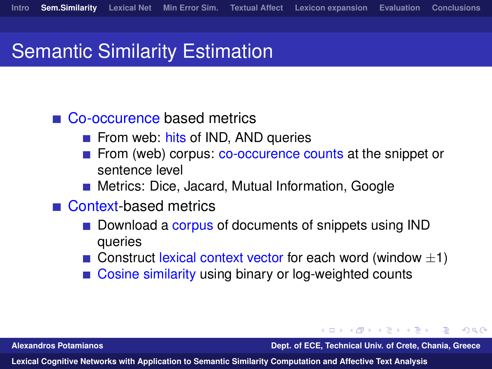## Semantic Similarity Estimation

### ■ Co-occurence based metrics

- From web: hits of IND, AND queries
- From (web) corpus: co-occurence counts at the snippet or sentence level
- **Metrics: Dice, Jacard, Mutual Information, Google**
- Context-based metrics
	- Download a corpus of documents of snippets using IND queries
	- Gonstruct lexical context vector for each word (window  $\pm 1$ )
	- Cosine similarity using binary or log-weighted counts

**Alexandros Potamianos Dept. of ECE, Technical Univ. of Crete, Chania, Greece**

AD > < = > < = >

 $\Omega$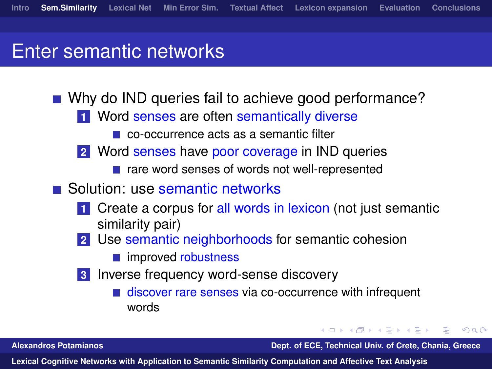## Enter semantic networks

- Why do IND queries fail to achieve good performance?
	- **1** Word senses are often semantically diverse
		- co-occurrence acts as a semantic filter
	- **2** Word senses have poor coverage in IND queries
		- rare word senses of words not well-represented
- Solution: use semantic networks
	- **1** Create a corpus for all words in lexicon (not just semantic similarity pair)
	- **2** Use semantic neighborhoods for semantic cohesion
		- **n** improved robustness
	- **3** Inverse frequency word-sense discovery
		- discover rare senses via co-occurrence with infrequent words

**Alexandros Potamianos Dept. of ECE, Technical Univ. of Crete, Chania, Greece**

同 ▶ イヨ ▶ イヨ

<span id="page-21-0"></span> $\Omega$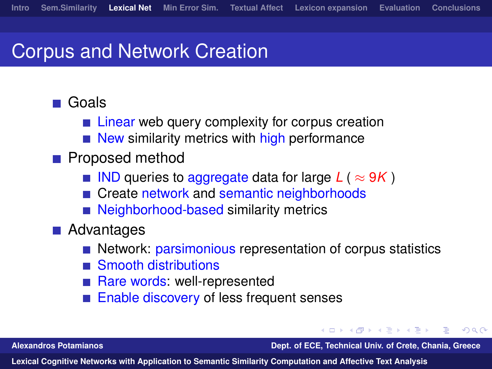# Corpus and Network Creation

### ■ Goals

- **Example 1** Linear web query complexity for corpus creation
- $\blacksquare$  New similarity metrics with high performance
- **Proposed method** 
	- IND queries to aggregate data for large  $L$  ( $\approx$  9K)
	- Create network and semantic neighborhoods
	- Neighborhood-based similarity metrics
- **Advantages** 
	- Network: parsimonious representation of corpus statistics
	- Smooth distributions
	- Rare words: well-represented
	- Enable discovery of less frequent senses

**Alexandros Potamianos Dept. of ECE, Technical Univ. of Crete, Chania, Greece**

化重新润滑

<span id="page-22-0"></span> $209$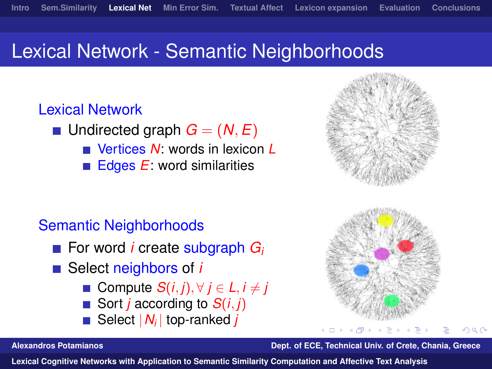# Lexical Network - Semantic Neighborhoods

### Lexical Network

- **u** Undirected graph  $G = (N, E)$ 
	- Vertices *N*: words in lexicon *L*
	- Edges *E*: word similarities  $\mathcal{L}^{\mathcal{A}}$

### Semantic Neighborhoods

- For word *i* create subgraph *G*<sub>*i*</sub>
- Select neighbors of *i* 
	- Compute  $S(i, j)$ ,  $\forall j \in L, i \neq j$
	- Sort *j* according to *S*(*i*, *j*)
	- Select |*N<sup>i</sup>* | top-ranked *j*





**Alexandros Potamianos Dept. of ECE, Technical Univ. of Crete, Chania, Greece**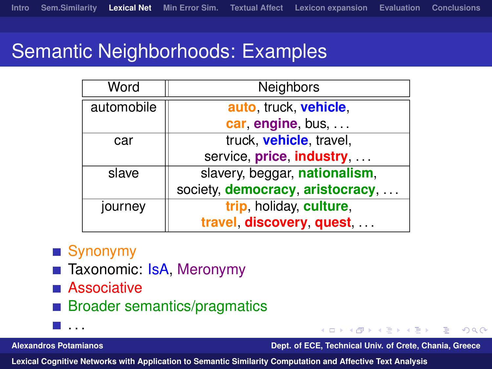<span id="page-24-0"></span> $\Omega$ 

# Semantic Neighborhoods: Examples

| Word       | <b>Neighbors</b>                 |
|------------|----------------------------------|
| automobile | auto, truck, vehicle,            |
|            | car, engine, bus,                |
| car        | truck, <b>vehicle</b> , travel,  |
|            | service, price, industry,        |
| slave      | slavery, beggar, nationalism,    |
|            | society, democracy, aristocracy, |
| journey    | trip, holiday, culture,          |
|            | travel discovery quest           |

### ■ Synonymy

- Taxonomic: IsA, Meronymy
- **Associative**
- **Broader semantics/pragmatics**
- **Talling**

. . .

**Alexandros Potamianos Dept. of ECE, Technical Univ. of Crete, Chania, Greece**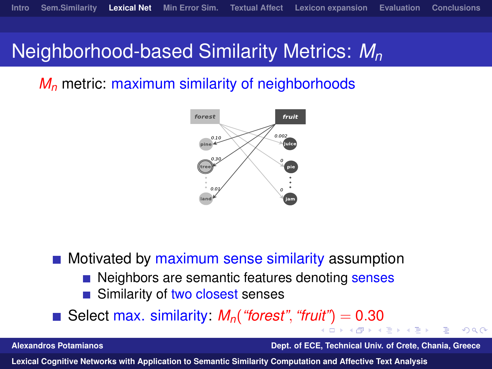## Neighborhood-based Similarity Metrics: *M<sup>n</sup>*

*M<sup>n</sup>* metric: maximum similarity of neighborhoods



**Motivated by maximum sense similarity assumption** 

- Neighbors are semantic features denoting senses
- Similarity of two closest senses

Select max. similarity:  $M_n$  ("forest", "fr[uit"](#page-24-0)) [=](#page-26-0)  $0.30$  $0.30$  $0.30$  $0.30$ 

**Alexandros Potamianos Dept. of ECE, Technical Univ. of Crete, Chania, Greece**

<span id="page-25-0"></span>つくへ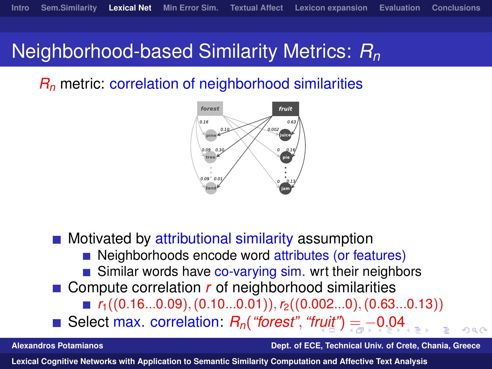## Neighborhood-based Similarity Metrics: *R<sup>n</sup>*

*R<sup>n</sup>* metric: correlation of neighborhood similarities



 $\blacksquare$  Motivated by attributional similarity assumption Neighborhoods encode word attributes (or features)  $\blacksquare$  Similar words have co-varying sim. wrt their neighbors ■ Compute correlation *r* of neighborhood similarities  $\blacksquare$  *r*<sub>1</sub>((0.16...0.09),(0.10...0.01)), *r*<sub>2</sub>((0.002...0),(0.63...0.13)) Select max. correlation: *Rn*(*"forest"*, *"f[rui](#page-25-0)t"*[\)](#page-27-0)[=](#page-26-0) [−](#page-27-0)[0](#page-21-0)[.](#page-22-0)[0](#page-30-0)[4](#page-31-0)

**Alexandros Potamianos Dept. of ECE, Technical Univ. of Crete, Chania, Greece**

<span id="page-26-0"></span> $0 \alpha$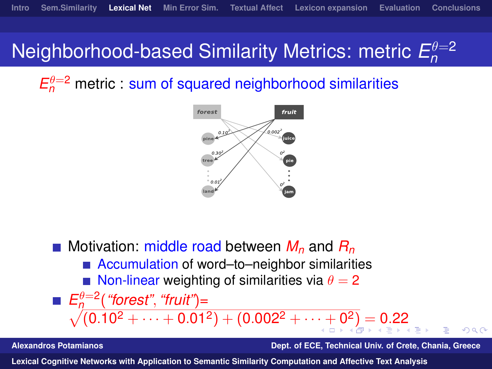<span id="page-27-0"></span>つくへ

### **Neighborhood-based Similarity Metrics: metric**  $E_n^{\theta=2}$ *n*

 $E_n^{\theta=2}$  metric : sum of squared neighborhood similarities



■ Motivation: middle road between  $M_n$  and  $R_n$ ■ Accumulation of word–to–neighbor similarities Non-linear weighting of similarities via  $\theta = 2$  $E_n^{\theta=2}$ (*"forest"*, *"fruit"*)=  $\frac{E_n}{\sqrt{(0.10^2 + \dots + 0.01^2) + (0.002^2 + \dots + 0^2)}} = 0.22$  $\frac{E_n}{\sqrt{(0.10^2 + \dots + 0.01^2) + (0.002^2 + \dots + 0^2)}} = 0.22$  $\frac{E_n}{\sqrt{(0.10^2 + \dots + 0.01^2) + (0.002^2 + \dots + 0^2)}} = 0.22$  $\frac{E_n}{\sqrt{(0.10^2 + \dots + 0.01^2) + (0.002^2 + \dots + 0^2)}} = 0.22$  $\frac{E_n}{\sqrt{(0.10^2 + \dots + 0.01^2) + (0.002^2 + \dots + 0^2)}} = 0.22$  $\frac{E_n}{\sqrt{(0.10^2 + \dots + 0.01^2) + (0.002^2 + \dots + 0^2)}} = 0.22$  $\frac{E_n}{\sqrt{(0.10^2 + \dots + 0.01^2) + (0.002^2 + \dots + 0^2)}} = 0.22$  $\frac{E_n}{\sqrt{(0.10^2 + \dots + 0.01^2) + (0.002^2 + \dots + 0^2)}} = 0.22$  $\frac{E_n}{\sqrt{(0.10^2 + \dots + 0.01^2) + (0.002^2 + \dots + 0^2)}} = 0.22$  $\frac{E_n}{\sqrt{(0.10^2 + \dots + 0.01^2) + (0.002^2 + \dots + 0^2)}} = 0.22$  $\frac{E_n}{\sqrt{(0.10^2 + \dots + 0.01^2) + (0.002^2 + \dots + 0^2)}} = 0.22$ 

**Alexandros Potamianos Dept. of ECE, Technical Univ. of Crete, Chania, Greece**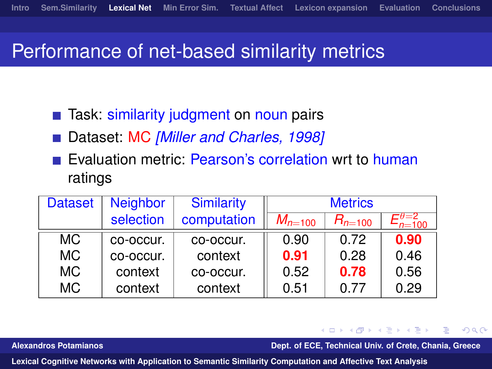## Performance of net-based similarity metrics

- Task: similarity judgment on noun pairs
- Dataset: MC *[Miller and Charles, 1998]*
- Evaluation metric: Pearson's correlation wrt to human ratings

| <b>Dataset</b> | <b>Neighbor</b> | <b>Similarity</b> | <b>Metrics</b> |             |                              |
|----------------|-----------------|-------------------|----------------|-------------|------------------------------|
|                | selection       | computation       | $M_{n=100}$    | $R_{n=100}$ | $=\theta = 2$<br>$E_{n=100}$ |
| MC.            | co-occur.       | co-occur.         | 0.90           | 0.72        | 0.90                         |
| МC             | co-occur.       | context           | 0.91           | 0.28        | 0.46                         |
| МC             | context         | co-occur.         | 0.52           | 0.78        | 0.56                         |
| <b>MC</b>      | context         | context           | 0.51           | 0.77        | 0.29                         |

**Alexandros Potamianos Dept. of ECE, Technical Univ. of Crete, Chania, Greece**

<span id="page-28-0"></span> $\Omega$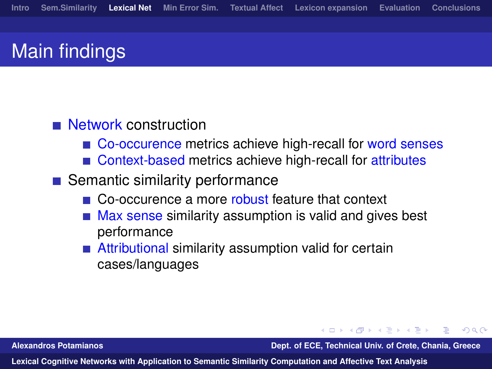# Main findings

### **Network construction**

- Co-occurence metrics achieve high-recall for word senses
- Context-based metrics achieve high-recall for attributes
- Semantic similarity performance
	- Co-occurence a more robust feature that context
	- Max sense similarity assumption is valid and gives best performance
	- Attributional similarity assumption valid for certain cases/languages

**Alexandros Potamianos Dept. of ECE, Technical Univ. of Crete, Chania, Greece**

 $\Omega$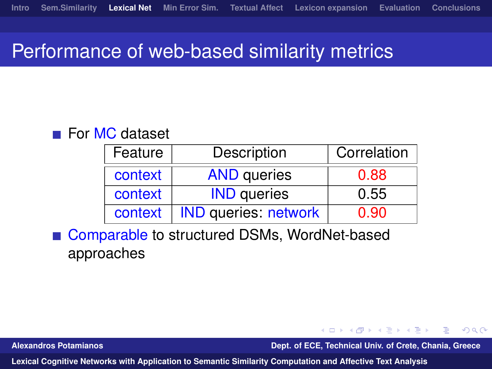### Performance of web-based similarity metrics

### ■ For MC dataset

| Feature | Description                 | Correlation |
|---------|-----------------------------|-------------|
| context | <b>AND</b> queries          | 0.88        |
| context | <b>IND</b> queries          | 0.55        |
| context | <b>IND queries: network</b> | 0.90        |

Comparable to structured DSMs, WordNet-based approaches

**Alexandros Potamianos Dept. of ECE, Technical Univ. of Crete, Chania, Greece**

<span id="page-30-0"></span> $\Omega$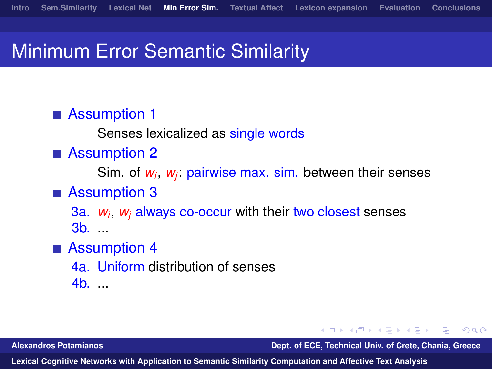## **Minimum Error Semantic Similarity**

■ Assumption 1

Senses lexicalized as single words

■ Assumption 2

Sim. of *w<sub>i</sub>*, *w<sub>j</sub>*: pairwise max. sim. between their senses

### ■ Assumption 3

3a. *w<sup>i</sup>* , *w<sup>j</sup>* always co-occur with their two closest senses 3b. ...

■ Assumption 4

4a. Uniform distribution of senses 4b. ...

**Alexandros Potamianos Dept. of ECE, Technical Univ. of Crete, Chania, Greece**

化重 网络重

<span id="page-31-0"></span> $\Omega$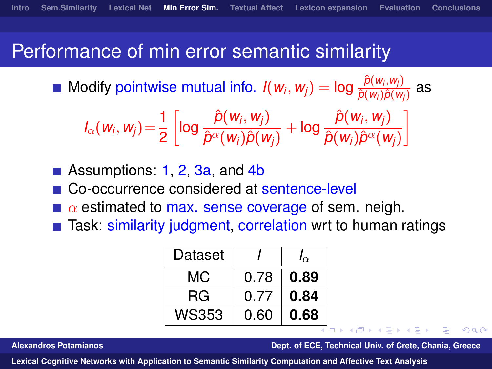# Performance of min error semantic similarity

Modify pointwise mutual info.  $I(w_i, w_j) = \log \frac{\hat{p}(w_i, w_j)}{\hat{p}(w_i)\hat{p}(w_j)}$  $\frac{\rho(w_i, w_j)}{\hat{\rho}(w_i)\hat{\rho}(w_j)}$  as

$$
I_{\alpha}(w_i, w_j) = \frac{1}{2} \left[ \log \frac{\hat{p}(w_i, w_j)}{\hat{p}^{\alpha}(w_i)\hat{p}(w_j)} + \log \frac{\hat{p}(w_i, w_j)}{\hat{p}(w_i)\hat{p}^{\alpha}(w_j)} \right]
$$

■ Assumptions: 1, 2, 3a, and 4b

Co-occurrence considered at sentence-level

- $\alpha$  estimated to max. sense coverage of sem. neigh.
- Task: similarity judgment, correlation wrt to human ratings

| Dataset |      | $\sim$ |
|---------|------|--------|
| MC.     | 0.78 | 0.89   |
| RG.     | 0.77 | 0.84   |
| WS353   | 0.60 | 0.68   |

**Alexandros Potamianos Dept. of ECE, Technical Univ. of Crete, Chania, Greece**

化重 网络重

 $209$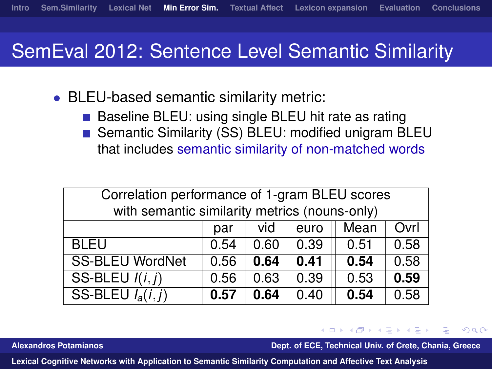## SemEval 2012: Sentence Level Semantic Similarity

- BLEU-based semantic similarity metric:
	- Baseline BLEU: using single BLEU hit rate as rating  $\sim$
	- Semantic Similarity (SS) BLEU: modified unigram BLEU that includes semantic similarity of non-matched words

| Correlation performance of 1-gram BLEU scores |      |      |      |      |      |
|-----------------------------------------------|------|------|------|------|------|
| with semantic similarity metrics (nouns-only) |      |      |      |      |      |
|                                               | par  | vid  | euro | Mean | Ovrl |
| <b>BLEU</b>                                   | 0.54 | 0.60 | 0.39 | 0.51 | 0.58 |
| <b>SS-BLEU WordNet</b>                        | 0.56 | 0.64 | 0.41 | 0.54 | 0.58 |
| SS-BLEU $I(i,j)$                              | 0.56 | 0.63 | 0.39 | 0.53 | 0.59 |
| SS-BLEU $I_a(i,j)$                            | 0.57 | 0.64 | 0.40 | 0.54 | 0.58 |

**Alexandros Potamianos Dept. of ECE, Technical Univ. of Crete, Chania, Greece**

 $\Omega$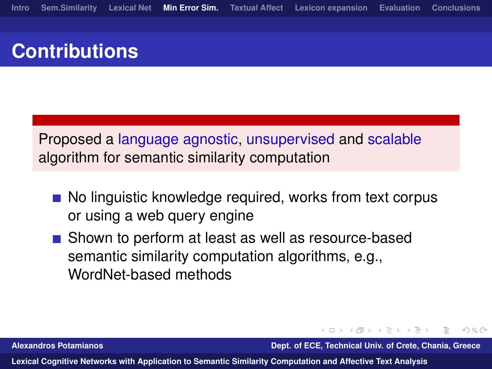# **Contributions**

Proposed a language agnostic, unsupervised and scalable algorithm for semantic similarity computation

- No linguistic knowledge required, works from text corpus or using a web query engine
- Shown to perform at least as well as resource-based semantic similarity computation algorithms, e.g., WordNet-based methods

**Alexandros Potamianos Dept. of ECE, Technical Univ. of Crete, Chania, Greece**

伺 ▶ イヨ ▶ イヨ

 $\Omega$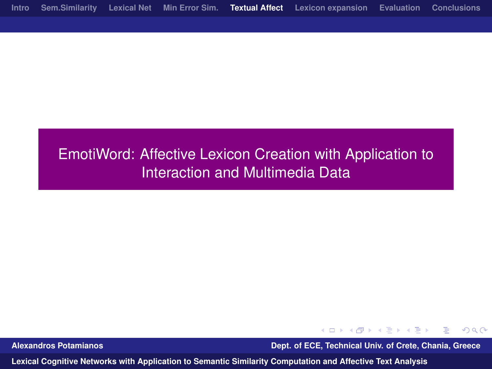### EmotiWord: Affective Lexicon Creation with Application to Interaction and Multimedia Data

<span id="page-35-0"></span> $QQ$ 4 0 8 化重 网络重

**Alexandros Potamianos Dept. of ECE, Technical Univ. of Crete, Chania, Greece**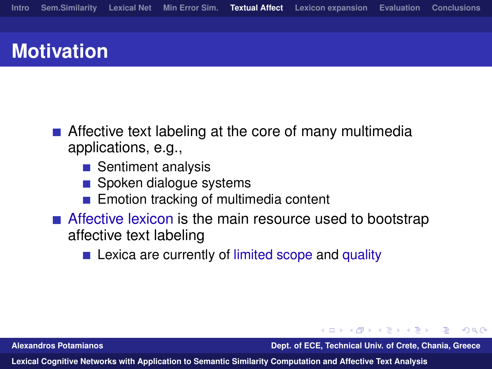# **Motivation**

- Affective text labeling at the core of many multimedia applications, e.g.,
	- Sentiment analysis
	- Spoken dialogue systems
	- Emotion tracking of multimedia content
- Affective lexicon is the main resource used to bootstrap affective text labeling
	- Lexica are currently of limited scope and quality

**Alexandros Potamianos Dept. of ECE, Technical Univ. of Crete, Chania, Greece**

化重 经利润

 $\Omega$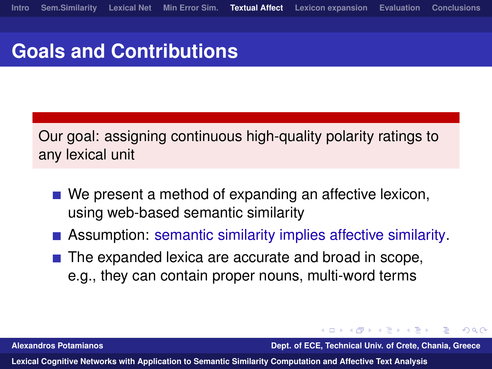### **Goals and Contributions**

Our goal: assigning continuous high-quality polarity ratings to any lexical unit

- We present a method of expanding an affective lexicon, using web-based semantic similarity
- **Assumption: semantic similarity implies affective similarity.**
- $\blacksquare$  The expanded lexica are accurate and broad in scope, e.g., they can contain proper nouns, multi-word terms

**Alexandros Potamianos Dept. of ECE, Technical Univ. of Crete, Chania, Greece**

医毛囊 医毛囊

 $209$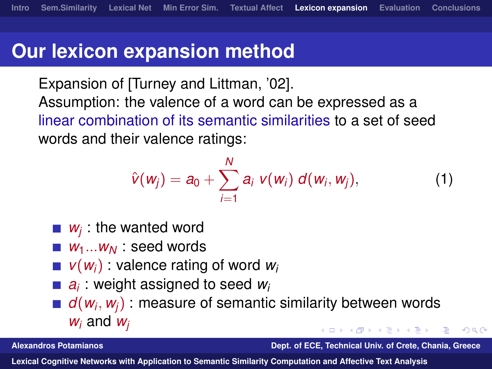### **Our lexicon expansion method**

Expansion of [Turney and Littman, '02]. Assumption: the valence of a word can be expressed as a linear combination of its semantic similarities to a set of seed words and their valence ratings:

$$
\hat{v}(w_j) = a_0 + \sum_{i=1}^N a_i \ v(w_i) \ d(w_i, w_j), \qquad (1)
$$

- *wj* : the wanted word
- *W*<sub>1</sub>...*W*<sub>*N*</sub> : seed words
- $\blacksquare$   $\mathsf{v}(\mathsf{w}_i)$  : valence rating of word  $\mathsf{w}_i$
- *ai* : weight assigned to seed *w<sup>i</sup>*
- *d*(*w<sup>i</sup>* , *wj*) : measure of semantic similarity between words *w<sup>i</sup>* and *w<sup>j</sup>*

**Alexandros Potamianos Dept. of ECE, Technical Univ. of Crete, Chania, Greece**

<span id="page-38-1"></span><span id="page-38-0"></span> $\Omega$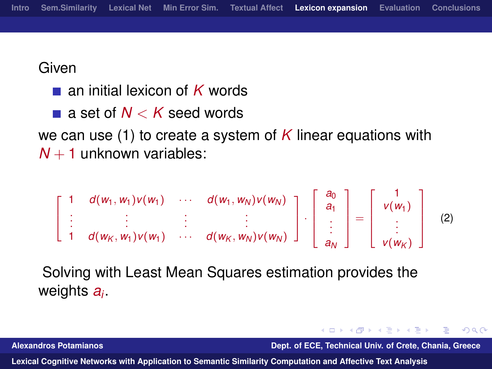Given

- an initial lexicon of *K* words
- a set of *N* < *K* seed words

we can use [\(1\)](#page-38-1) to create a system of *K* linear equations with  $N + 1$  unknown variables:

$$
\left[\begin{array}{cccc}1 & d(w_1,w_1)v(w_1) & \cdots & d(w_1,w_N)v(w_N) \\ \vdots & \vdots & \vdots & \vdots \\ 1 & d(w_K,w_1)v(w_1) & \cdots & d(w_K,w_N)v(w_N)\end{array}\right]\cdot\left[\begin{array}{c}a_0 \\ a_1 \\ \vdots \\ a_N\end{array}\right]=\left[\begin{array}{c}1 \\ v(w_1) \\ \vdots \\ v(w_K)\end{array}\right] \quad (2)
$$

Solving with Least Mean Squares estimation provides the weights *a<sup>i</sup>* .

**Alexandros Potamianos Dept. of ECE, Technical Univ. of Crete, Chania, Greece**

 $\Omega$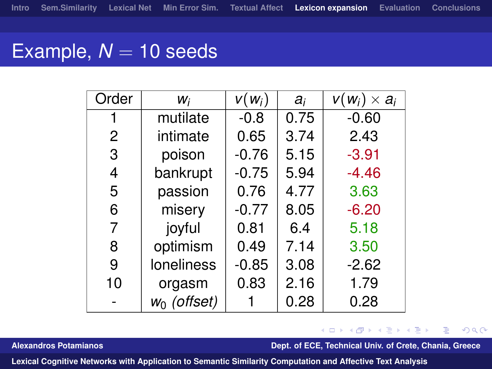## Example,  $N = 10$  seeds

| Order          | Wi             | $V(W_i)$ | $a_i$ | $V(W_i) \times a_i$ |
|----------------|----------------|----------|-------|---------------------|
| 1              | mutilate       | $-0.8$   | 0.75  | $-0.60$             |
| $\overline{2}$ | intimate       | 0.65     | 3.74  | 2.43                |
| 3              | poison         | $-0.76$  | 5.15  | $-3.91$             |
| 4              | bankrupt       | $-0.75$  | 5.94  | $-4.46$             |
| 5              | passion        | 0.76     | 4.77  | 3.63                |
| 6              | misery         | $-0.77$  | 8.05  | $-6.20$             |
| 7              | joyful         | 0.81     | 6.4   | 5.18                |
| 8              | optimism       | 0.49     | 7.14  | 3.50                |
| 9              | loneliness     | $-0.85$  | 3.08  | $-2.62$             |
| 10             | orgasm         | 0.83     | 2.16  | 1.79                |
|                | $w_0$ (offset) |          | 0.28  | 0.28                |

### イロメ イ何 メメ ミメイヨメ  $QQ$ ÷.

**Alexandros Potamianos Dept. of ECE, Technical Univ. of Crete, Chania, Greece**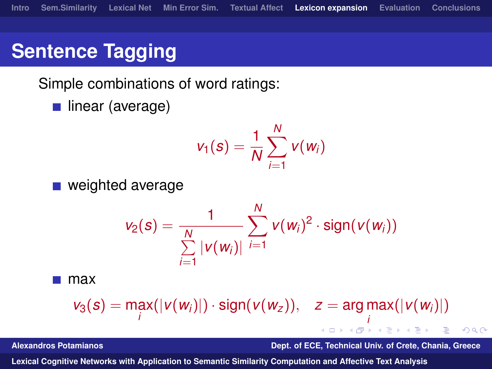# **Sentence Tagging**

Simple combinations of word ratings:

linear (average)

$$
v_1(s) = \frac{1}{N} \sum_{i=1}^N v(w_i)
$$

■ weighted average

$$
v_2(s) = \frac{1}{\sum_{i=1}^N |v(w_i)|} \sum_{i=1}^N v(w_i)^2 \cdot \text{sign}(v(w_i))
$$

max

$$
v_3(s) = \max_i(|v(w_i)|) \cdot \text{sign}(v(w_z)), \quad z = \argmax_i(|v(w_i)|)
$$

**Alexandros Potamianos Dept. of ECE, Technical Univ. of Crete, Chania, Greece**

ヨメ メラ

 $-111$ 

<span id="page-41-0"></span> $2990$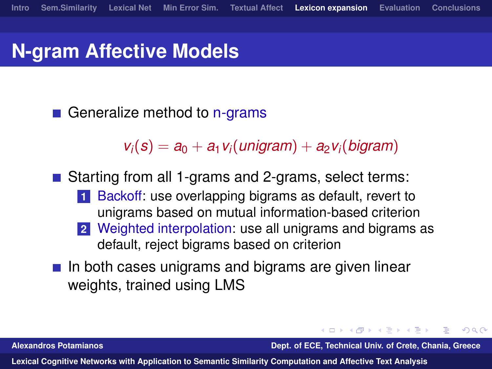# **N-gram Affective Models**

Generalize method to n-grams

 $v_i(s) = a_0 + a_1 v_i$  (*unigram*) +  $a_2 v_i$  (*bigram*)

■ Starting from all 1-grams and 2-grams, select terms:

- **1** Backoff: use overlapping bigrams as default, revert to unigrams based on mutual information-based criterion
- **2** Weighted interpolation: use all unigrams and bigrams as default, reject bigrams based on criterion
- $\blacksquare$  In both cases unigrams and bigrams are given linear weights, trained using LMS

**Alexandros Potamianos Dept. of ECE, Technical Univ. of Crete, Chania, Greece**

何 ▶ マミ ▶ マミ ▶

<span id="page-42-0"></span> $209$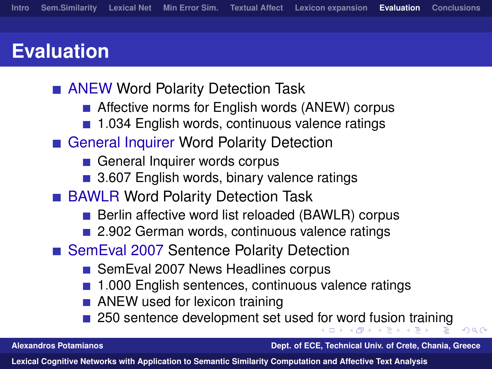# **Evaluation**

- **ANEW Word Polarity Detection Task** 
	- Affective norms for English words (ANEW) corpus
	- 1.034 English words, continuous valence ratings
- General Inquirer Word Polarity Detection
	- General Inquirer words corpus
	- 3.607 English words, binary valence ratings
- **BAWLR Word Polarity Detection Task** 
	- Berlin affective word list reloaded (BAWLR) corpus
	- 2.902 German words, continuous valence ratings
- SemEval 2007 Sentence Polarity Detection
	- SemEval 2007 News Headlines corpus
	- 1.000 English sentences, continuous valence ratings
	- **ANEW** used for lexicon training
	- 250 sentence development set used [fo](#page-42-0)r [w](#page-44-0)[o](#page-42-0)[rd](#page-43-0) [f](#page-44-0)[u](#page-42-0)[si](#page-43-0)[o](#page-51-0)[n](#page-52-0)[tr](#page-43-0)[a](#page-51-0)[in](#page-52-0)[in](#page-0-0)[g](#page-54-0)

**Alexandros Potamianos Dept. of ECE, Technical Univ. of Crete, Chania, Greece**

<span id="page-43-0"></span> $\Omega$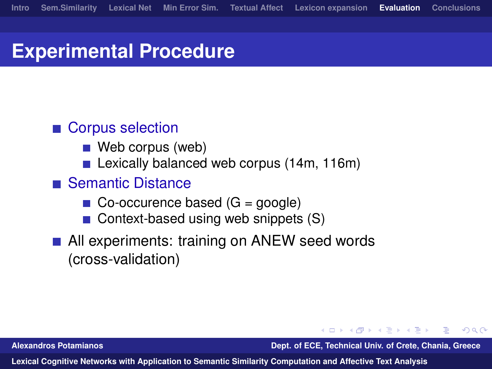## **Experimental Procedure**

### ■ Corpus selection

- Web corpus (web)
- **Lexically balanced web corpus (14m, 116m)**
- Semantic Distance
	- $\Box$  Co-occurence based (G = google)
	- Context-based using web snippets (S)
- **All experiments: training on ANEW seed words** (cross-validation)

**Alexandros Potamianos Dept. of ECE, Technical Univ. of Crete, Chania, Greece**

<span id="page-44-0"></span> $209$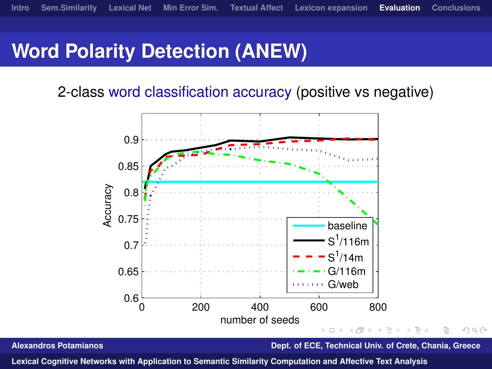# **Word Polarity Detection (ANEW)**

2-class word classification accuracy (positive vs negative)



**Alexandros Potamianos Dept. of ECE, Technical Univ. of Crete, Chania, Greece**

 $OQ$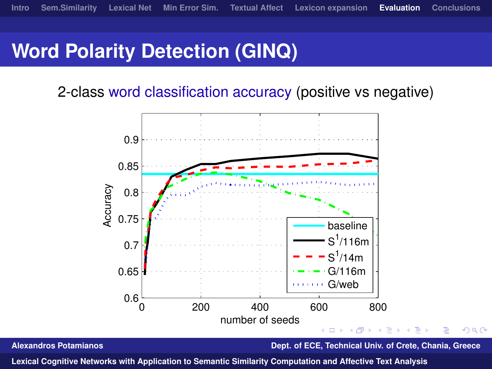# **Word Polarity Detection (GINQ)**

2-class word classification accuracy (positive vs negative)



**Alexandros Potamianos Dept. of ECE, Technical Univ. of Crete, Chania, Greece**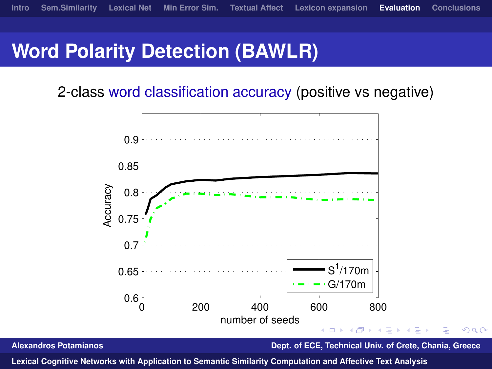# **Word Polarity Detection (BAWLR)**

2-class word classification accuracy (positive vs negative)



**Alexandros Potamianos Dept. of ECE, Technical Univ. of Crete, Chania, Greece**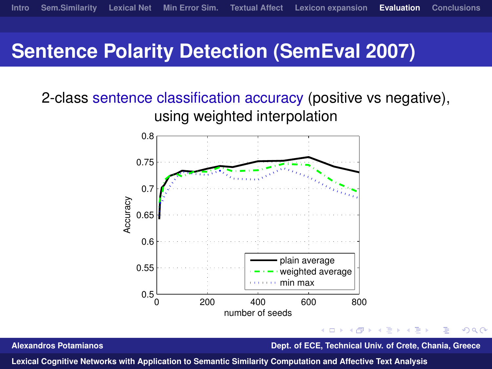## **Sentence Polarity Detection (SemEval 2007)**

2-class sentence classification accuracy (positive vs negative), using weighted interpolation



**Alexandros Potamianos Dept. of ECE, Technical Univ. of Crete, Chania, Greece**

つくへ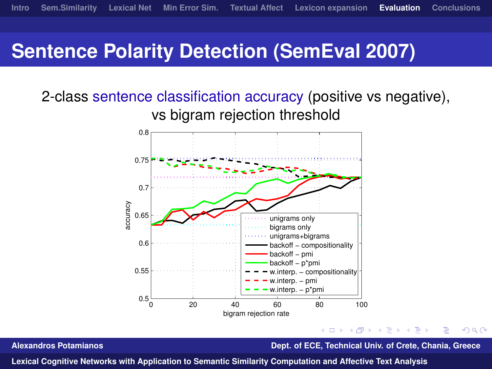## **Sentence Polarity Detection (SemEval 2007)**

2-class sentence classification accuracy (positive vs negative), vs bigram rejection threshold



**Alexandros Potamianos Dept. of ECE, Technical Univ. of Crete, Chania, Greece**

 $\Omega$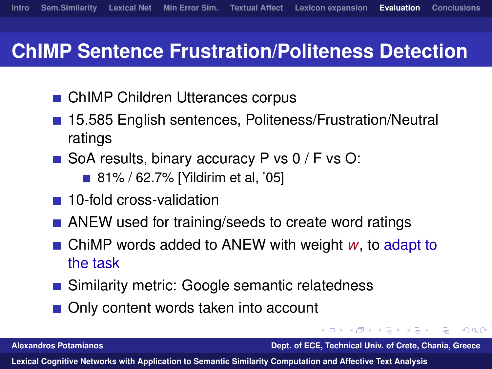# **ChIMP Sentence Frustration/Politeness Detection**

- ChIMP Children Utterances corpus
- 15.585 English sentences, Politeness/Frustration/Neutral ratings
- SoA results, binary accuracy P vs  $0$  / F vs O:
	- 81% / 62.7% [Yildirim et al, '05]
- 10-fold cross-validation
- ANEW used for training/seeds to create word ratings
- ChiMP words added to ANEW with weight *w*, to adapt to the task
- Similarity metric: Google semantic relatedness
- Only content words taken into account

**Alexandros Potamianos Dept. of ECE, Technical Univ. of Crete, Chania, Greece**

- 4 重 8 4 重 8

 $\Omega$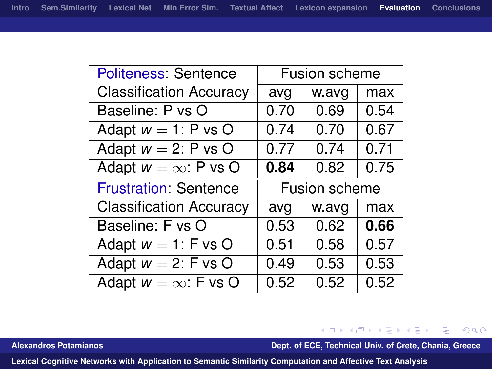| <b>Politeness: Sentence</b>    | Fusion scheme |       |      |  |
|--------------------------------|---------------|-------|------|--|
| <b>Classification Accuracy</b> | avg           | w.avg | max  |  |
| Baseline: P vs O               | 0.70          | 0.69  | 0.54 |  |
| Adapt $w = 1$ : P vs O         | 0.74          | 0.70  | 0.67 |  |
| Adapt $w = 2$ : P vs O         | 0.77          | 0.74  | 0.71 |  |
| Adapt $w = \infty$ : P vs O    | 0.84          | 0.82  | 0.75 |  |
|                                | Fusion scheme |       |      |  |
| <b>Frustration: Sentence</b>   |               |       |      |  |
| <b>Classification Accuracy</b> | avg           | w.avg | max  |  |
| Baseline: F vs O               | 0.53          | 0.62  | 0.66 |  |
| Adapt $w = 1$ : F vs O         | 0.51          | 0.58  | 0.57 |  |
| Adapt $w = 2$ : F vs O         | 0.49          | 0.53  | 0.53 |  |

メロメメ 御 メメ 君 メメ 君 メ **Alexandros Potamianos Dept. of ECE, Technical Univ. of Crete, Chania, Greece**

<span id="page-51-0"></span> $\equiv$  990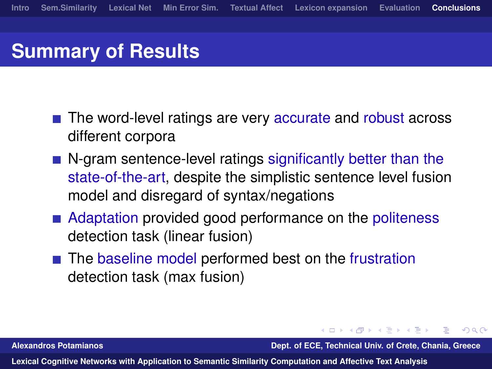# **Summary of Results**

- The word-level ratings are very accurate and robust across different corpora
- $\blacksquare$  N-gram sentence-level ratings significantly better than the state-of-the-art, despite the simplistic sentence level fusion model and disregard of syntax/negations
- Adaptation provided good performance on the politeness detection task (linear fusion)
- The baseline model performed best on the frustration detection task (max fusion)

**Alexandros Potamianos Dept. of ECE, Technical Univ. of Crete, Chania, Greece**

医毛囊 医毛囊

<span id="page-52-0"></span> $\Omega$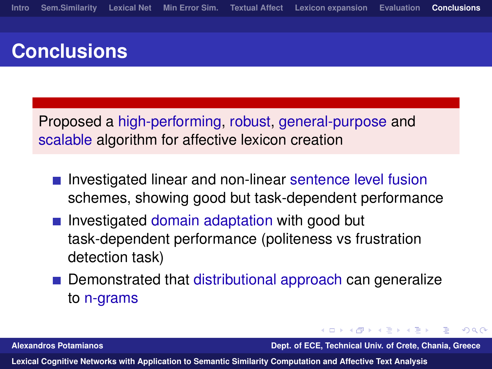# **Conclusions**

Proposed a high-performing, robust, general-purpose and scalable algorithm for affective lexicon creation

- Investigated linear and non-linear sentence level fusion schemes, showing good but task-dependent performance
- **I** Investigated domain adaptation with good but task-dependent performance (politeness vs frustration detection task)
- Demonstrated that distributional approach can generalize to n-grams

**Alexandros Potamianos Dept. of ECE, Technical Univ. of Crete, Chania, Greece**

化重新润滑

 $\Omega$